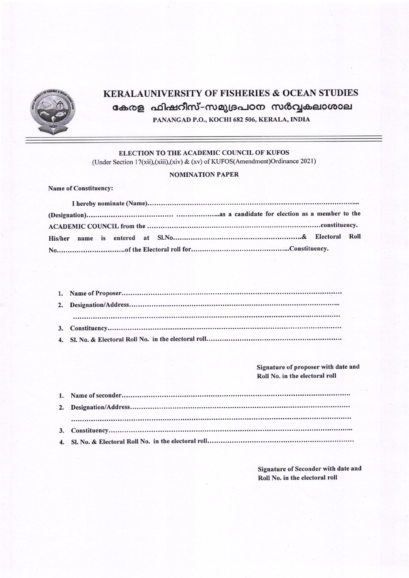

## **KERALAUNIVERSITY OF FISHERIES & OCEAN STUDIES** കേരള ഫിഷറീസ്-സമുദ്രപഠന സർവ്വകലാശാല PANANGAD P.O., KOCHI 682 506, KERALA, INDIA

ELECTION TO THE ACADEMIC COUNCIL OF KUFOS

(Under Section 17(xii),(xiii),(xiv) & (xv) of KUFOS(Amendment)Ordinance 2021)

## **NOMINATION PAPER**

Name of Constituency:

Signature of proposer with date and Roll No. in the electoral roll

Signature of Seconder with date and Roll No. in the electoral roll